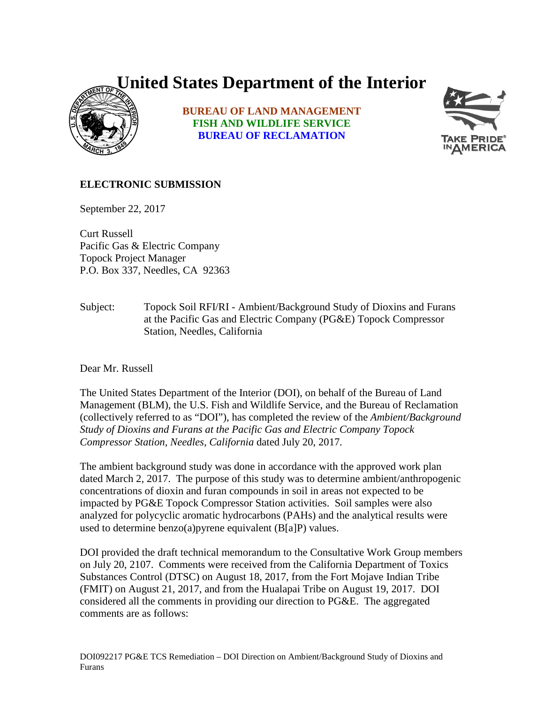## **United States Department of the Interior**



**BUREAU OF LAND MANAGEMENT FISH AND WILDLIFE SERVICE BUREAU OF RECLAMATION**



## **ELECTRONIC SUBMISSION**

September 22, 2017

Curt Russell Pacific Gas & Electric Company Topock Project Manager P.O. Box 337, Needles, CA 92363

Subject: Topock Soil RFI/RI - Ambient/Background Study of Dioxins and Furans at the Pacific Gas and Electric Company (PG&E) Topock Compressor Station, Needles, California

Dear Mr. Russell

The United States Department of the Interior (DOI), on behalf of the Bureau of Land Management (BLM), the U.S. Fish and Wildlife Service, and the Bureau of Reclamation (collectively referred to as "DOI"), has completed the review of the *Ambient/Background Study of Dioxins and Furans at the Pacific Gas and Electric Company Topock Compressor Station, Needles, California* dated July 20, 2017*.* 

The ambient background study was done in accordance with the approved work plan dated March 2, 2017. The purpose of this study was to determine ambient/anthropogenic concentrations of dioxin and furan compounds in soil in areas not expected to be impacted by PG&E Topock Compressor Station activities. Soil samples were also analyzed for polycyclic aromatic hydrocarbons (PAHs) and the analytical results were used to determine benzo(a)pyrene equivalent (B[a]P) values.

DOI provided the draft technical memorandum to the Consultative Work Group members on July 20, 2107. Comments were received from the California Department of Toxics Substances Control (DTSC) on August 18, 2017, from the Fort Mojave Indian Tribe (FMIT) on August 21, 2017, and from the Hualapai Tribe on August 19, 2017. DOI considered all the comments in providing our direction to PG&E. The aggregated comments are as follows: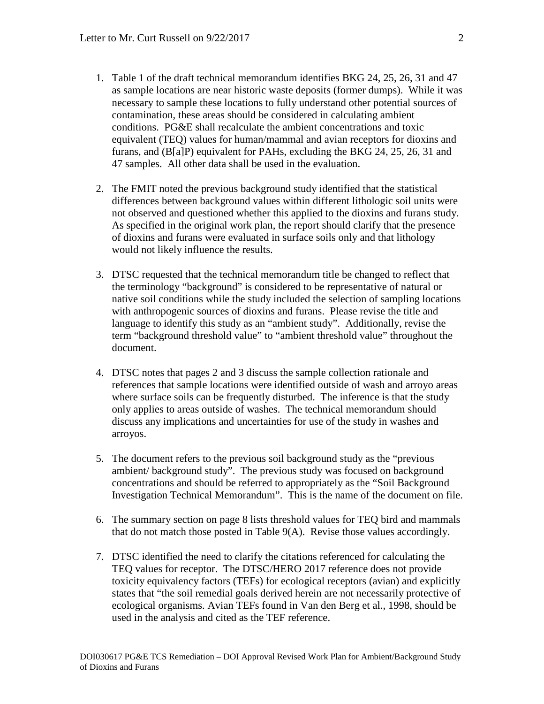- 1. Table 1 of the draft technical memorandum identifies BKG 24, 25, 26, 31 and 47 as sample locations are near historic waste deposits (former dumps). While it was necessary to sample these locations to fully understand other potential sources of contamination, these areas should be considered in calculating ambient conditions. PG&E shall recalculate the ambient concentrations and toxic equivalent (TEQ) values for human/mammal and avian receptors for dioxins and furans, and (B[a]P) equivalent for PAHs, excluding the BKG 24, 25, 26, 31 and 47 samples. All other data shall be used in the evaluation.
- 2. The FMIT noted the previous background study identified that the statistical differences between background values within different lithologic soil units were not observed and questioned whether this applied to the dioxins and furans study. As specified in the original work plan, the report should clarify that the presence of dioxins and furans were evaluated in surface soils only and that lithology would not likely influence the results.
- 3. DTSC requested that the technical memorandum title be changed to reflect that the terminology "background" is considered to be representative of natural or native soil conditions while the study included the selection of sampling locations with anthropogenic sources of dioxins and furans. Please revise the title and language to identify this study as an "ambient study". Additionally, revise the term "background threshold value" to "ambient threshold value" throughout the document.
- 4. DTSC notes that pages 2 and 3 discuss the sample collection rationale and references that sample locations were identified outside of wash and arroyo areas where surface soils can be frequently disturbed. The inference is that the study only applies to areas outside of washes. The technical memorandum should discuss any implications and uncertainties for use of the study in washes and arroyos.
- 5. The document refers to the previous soil background study as the "previous ambient/ background study". The previous study was focused on background concentrations and should be referred to appropriately as the "Soil Background Investigation Technical Memorandum". This is the name of the document on file.
- 6. The summary section on page 8 lists threshold values for TEQ bird and mammals that do not match those posted in Table 9(A). Revise those values accordingly.
- 7. DTSC identified the need to clarify the citations referenced for calculating the TEQ values for receptor. The DTSC/HERO 2017 reference does not provide toxicity equivalency factors (TEFs) for ecological receptors (avian) and explicitly states that "the soil remedial goals derived herein are not necessarily protective of ecological organisms. Avian TEFs found in Van den Berg et al., 1998, should be used in the analysis and cited as the TEF reference.